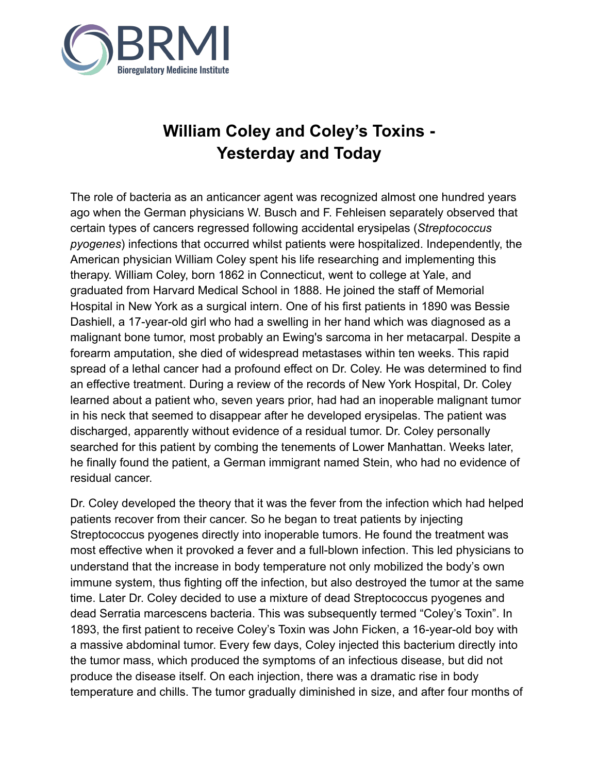

## **William Coley and Coley's Toxins - Yesterday and Today**

The role of bacteria as an anticancer agent was recognized almost one hundred years ago when the German physicians W. Busch and F. Fehleisen separately observed that certain types of cancers regressed following accidental erysipelas (*Streptococcus pyogenes*) infections that occurred whilst patients were hospitalized. Independently, the American physician William Coley spent his life researching and implementing this therapy. William Coley, born 1862 in Connecticut, went to college at Yale, and graduated from Harvard Medical School in 1888. He joined the staff of Memorial Hospital in New York as a surgical intern. One of his first patients in 1890 was Bessie Dashiell, a 17-year-old girl who had a swelling in her hand which was diagnosed as a malignant bone tumor, most probably an Ewing's sarcoma in her metacarpal. Despite a forearm amputation, she died of widespread metastases within ten weeks. This rapid spread of a lethal cancer had a profound effect on Dr. Coley. He was determined to find an effective treatment. During a review of the records of New York Hospital, Dr. Coley learned about a patient who, seven years prior, had had an inoperable malignant tumor in his neck that seemed to disappear after he developed erysipelas. The patient was discharged, apparently without evidence of a residual tumor. Dr. Coley personally searched for this patient by combing the tenements of Lower Manhattan. Weeks later, he finally found the patient, a German immigrant named Stein, who had no evidence of residual cancer.

Dr. Coley developed the theory that it was the fever from the infection which had helped patients recover from their cancer. So he began to treat patients by injecting Streptococcus pyogenes directly into inoperable tumors. He found the treatment was most effective when it provoked a fever and a full-blown infection. This led physicians to understand that the increase in body temperature not only mobilized the body's own immune system, thus fighting off the infection, but also destroyed the tumor at the same time. Later Dr. Coley decided to use a mixture of dead Streptococcus pyogenes and dead Serratia marcescens bacteria. This was subsequently termed "Coley's Toxin". In 1893, the first patient to receive Coley's Toxin was John Ficken, a 16-year-old boy with a massive abdominal tumor. Every few days, Coley injected this bacterium directly into the tumor mass, which produced the symptoms of an infectious disease, but did not produce the disease itself. On each injection, there was a dramatic rise in body temperature and chills. The tumor gradually diminished in size, and after four months of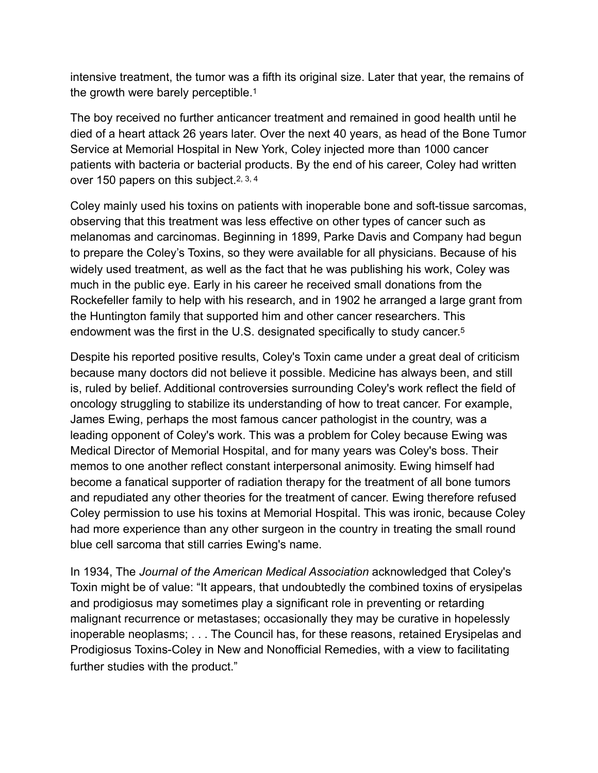intensive treatment, the tumor was a fifth its original size. Later that year, the remains of the growth were barely perceptible.1

The boy received no further anticancer treatment and remained in good health until he died of a heart attack 26 years later. Over the next 40 years, as head of the Bone Tumor Service at Memorial Hospital in New York, Coley injected more than 1000 cancer patients with bacteria or bacterial products. By the end of his career, Coley had written over 150 papers on this subject.2, 3, 4

Coley mainly used his toxins on patients with inoperable bone and soft-tissue sarcomas, observing that this treatment was less effective on other types of cancer such as melanomas and carcinomas. Beginning in 1899, Parke Davis and Company had begun to prepare the Coley's Toxins, so they were available for all physicians. Because of his widely used treatment, as well as the fact that he was publishing his work, Coley was much in the public eye. Early in his career he received small donations from the Rockefeller family to help with his research, and in 1902 he arranged a large grant from the Huntington family that supported him and other cancer researchers. This endowment was the first in the U.S. designated specifically to study cancer.5

Despite his reported positive results, Coley's Toxin came under a great deal of criticism because many doctors did not believe it possible. Medicine has always been, and still is, ruled by belief. Additional controversies surrounding Coley's work reflect the field of oncology struggling to stabilize its understanding of how to treat cancer. For example, James Ewing, perhaps the most famous cancer pathologist in the country, was a leading opponent of Coley's work. This was a problem for Coley because Ewing was Medical Director of Memorial Hospital, and for many years was Coley's boss. Their memos to one another reflect constant interpersonal animosity. Ewing himself had become a fanatical supporter of radiation therapy for the treatment of all bone tumors and repudiated any other theories for the treatment of cancer. Ewing therefore refused Coley permission to use his toxins at Memorial Hospital. This was ironic, because Coley had more experience than any other surgeon in the country in treating the small round blue cell sarcoma that still carries Ewing's name.

In 1934, The *Journal of the American Medical Association* acknowledged that Coley's Toxin might be of value: "It appears, that undoubtedly the combined toxins of erysipelas and prodigiosus may sometimes play a significant role in preventing or retarding malignant recurrence or metastases; occasionally they may be curative in hopelessly inoperable neoplasms; . . . The Council has, for these reasons, retained Erysipelas and Prodigiosus Toxins-Coley in New and Nonofficial Remedies, with a view to facilitating further studies with the product."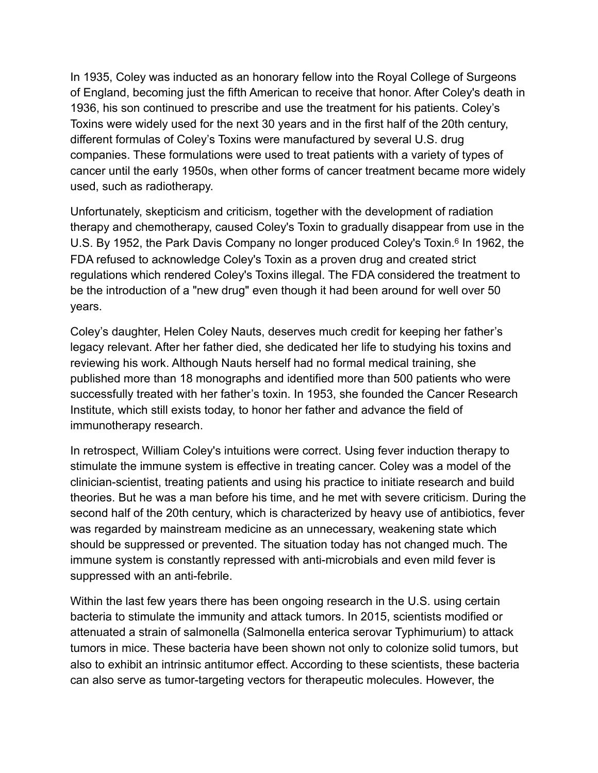In 1935, Coley was inducted as an honorary fellow into the Royal College of Surgeons of England, becoming just the fifth American to receive that honor. After Coley's death in 1936, his son continued to prescribe and use the treatment for his patients. Coley's Toxins were widely used for the next 30 years and in the first half of the 20th century, different formulas of Coley's Toxins were manufactured by several U.S. drug companies. These formulations were used to treat patients with a variety of types of cancer until the early 1950s, when other forms of cancer treatment became more widely used, such as radiotherapy.

Unfortunately, skepticism and criticism, together with the development of radiation therapy and chemotherapy, caused Coley's Toxin to gradually disappear from use in the U.S. By 1952, the Park Davis Company no longer produced Coley's Toxin.<sup>6</sup> In 1962, the FDA refused to acknowledge Coley's Toxin as a proven drug and created strict regulations which rendered Coley's Toxins illegal. The FDA considered the treatment to be the introduction of a "new drug" even though it had been around for well over 50 years.

Coley's daughter, Helen Coley Nauts, deserves much credit for keeping her father's legacy relevant. After her father died, she dedicated her life to studying his toxins and reviewing his work. Although Nauts herself had no formal medical training, she published more than 18 monographs and identified more than 500 patients who were successfully treated with her father's toxin. In 1953, she founded the Cancer Research Institute, which still exists today, to honor her father and advance the field of immunotherapy research.

In retrospect, William Coley's intuitions were correct. Using fever induction therapy to stimulate the immune system is effective in treating cancer. Coley was a model of the clinician-scientist, treating patients and using his practice to initiate research and build theories. But he was a man before his time, and he met with severe criticism. During the second half of the 20th century, which is characterized by heavy use of antibiotics, fever was regarded by mainstream medicine as an unnecessary, weakening state which should be suppressed or prevented. The situation today has not changed much. The immune system is constantly repressed with anti-microbials and even mild fever is suppressed with an anti-febrile.

Within the last few years there has been ongoing research in the U.S. using certain bacteria to stimulate the immunity and attack tumors. In 2015, scientists modified or attenuated a strain of salmonella (Salmonella enterica serovar Typhimurium) to attack tumors in mice. These bacteria have been shown not only to colonize solid tumors, but also to exhibit an intrinsic antitumor effect. According to these scientists, these bacteria can also serve as tumor-targeting vectors for therapeutic molecules. However, the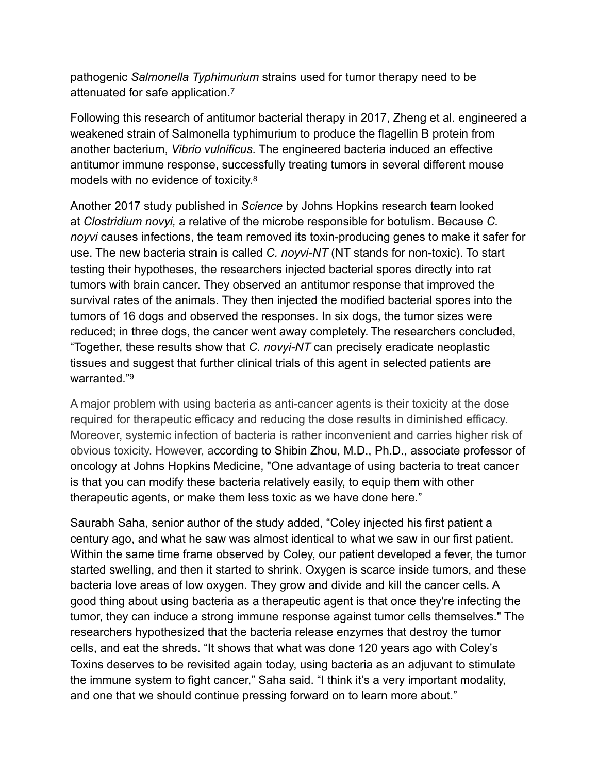pathogenic *Salmonella Typhimurium* strains used for tumor therapy need to be attenuated for safe application.7

Following this research of antitumor bacterial therapy in 2017, Zheng et al. engineered a weakened strain of Salmonella typhimurium to produce the flagellin B protein from another bacterium, *Vibrio vulnificus*. The engineered bacteria induced an effective antitumor immune response, successfully treating tumors in several different mouse models with no evidence of toxicity.8

Another 2017 study published in *Science* by Johns Hopkins research team looked at *Clostridium novyi,* a relative of the microbe responsible for botulism. Because *C. noyvi* causes infections, the team removed its toxin-producing genes to make it safer for use. The new bacteria strain is called *C. noyvi-NT* (NT stands for non-toxic). To start testing their hypotheses, the researchers injected bacterial spores directly into rat tumors with brain cancer. They observed an antitumor response that improved the survival rates of the animals. They then injected the modified bacterial spores into the tumors of 16 dogs and observed the responses. In six dogs, the tumor sizes were reduced; in three dogs, the cancer went away completely. The researchers concluded, "Together, these results show that *C. novyi-NT* can precisely eradicate neoplastic tissues and suggest that further clinical trials of this agent in selected patients are warranted."9

A major problem with using bacteria as anti-cancer agents is their toxicity at the dose required for therapeutic efficacy and reducing the dose results in diminished efficacy. Moreover, systemic infection of bacteria is rather inconvenient and carries higher risk of obvious toxicity. However, according to Shibin Zhou, M.D., Ph.D., associate professor of oncology at Johns Hopkins Medicine, "One advantage of using bacteria to treat cancer is that you can modify these bacteria relatively easily, to equip them with other therapeutic agents, or make them less toxic as we have done here."

Saurabh Saha, senior author of the study added, "Coley injected his first patient a century ago, and what he saw was almost identical to what we saw in our first patient. Within the same time frame observed by Coley, our patient developed a fever, the tumor started swelling, and then it started to shrink. Oxygen is scarce inside tumors, and these bacteria love areas of low oxygen. They grow and divide and kill the cancer cells. A good thing about using bacteria as a therapeutic agent is that once they're infecting the tumor, they can induce a strong immune response against tumor cells themselves." The researchers hypothesized that the bacteria release enzymes that destroy the tumor cells, and eat the shreds. "It shows that what was done 120 years ago with Coley's Toxins deserves to be revisited again today, using bacteria as an adjuvant to stimulate the immune system to fight cancer," Saha said. "I think it's a very important modality, and one that we should continue pressing forward on to learn more about."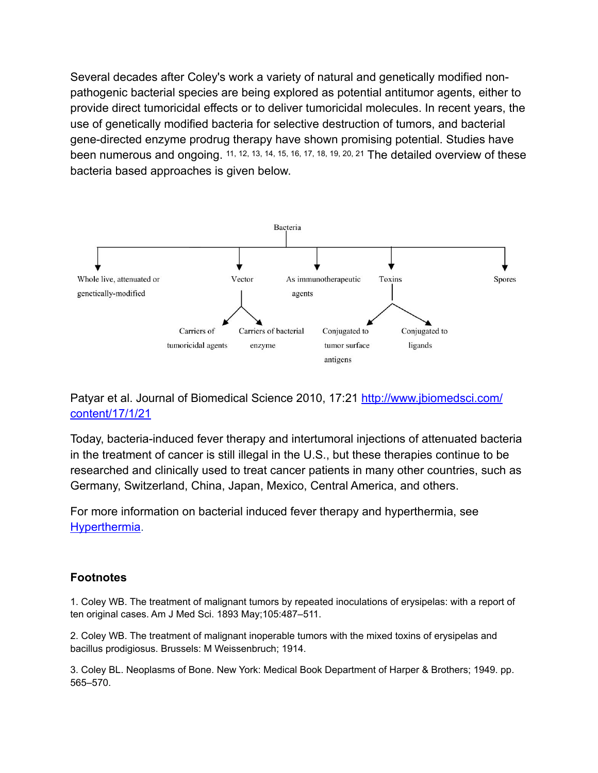Several decades after Coley's work a variety of natural and genetically modified nonpathogenic bacterial species are being explored as potential antitumor agents, either to provide direct tumoricidal effects or to deliver tumoricidal molecules. In recent years, the use of genetically modified bacteria for selective destruction of tumors, and bacterial gene-directed enzyme prodrug therapy have shown promising potential. Studies have been numerous and ongoing. 11, 12, 13, 14, 15, 16, 17, 18, 19, 20, 21 The detailed overview of these bacteria based approaches is given below.



## Patyar et al. Journal of Biomedical Science 2010, 17:21 [http://www.jbiomedsci.com/](http://www.jbiomedsci.com/content/17/1/21) [content/17/1/21](http://www.jbiomedsci.com/content/17/1/21)

Today, bacteria-induced fever therapy and intertumoral injections of attenuated bacteria in the treatment of cancer is still illegal in the U.S., but these therapies continue to be researched and clinically used to treat cancer patients in many other countries, such as Germany, Switzerland, China, Japan, Mexico, Central America, and others.

For more information on bacterial induced fever therapy and hyperthermia, see [Hyperthermia](https://docs.wixstatic.com/ugd/003030_e75e3ed19aa54976994fe3c02f060810.pdf).

## **Footnotes**

1. Coley WB. The treatment of malignant tumors by repeated inoculations of erysipelas: with a report of ten original cases. Am J Med Sci. 1893 May;105:487–511.

2. Coley WB. The treatment of malignant inoperable tumors with the mixed toxins of erysipelas and bacillus prodigiosus. Brussels: M Weissenbruch; 1914.

3. Coley BL. Neoplasms of Bone. New York: Medical Book Department of Harper & Brothers; 1949. pp. 565–570.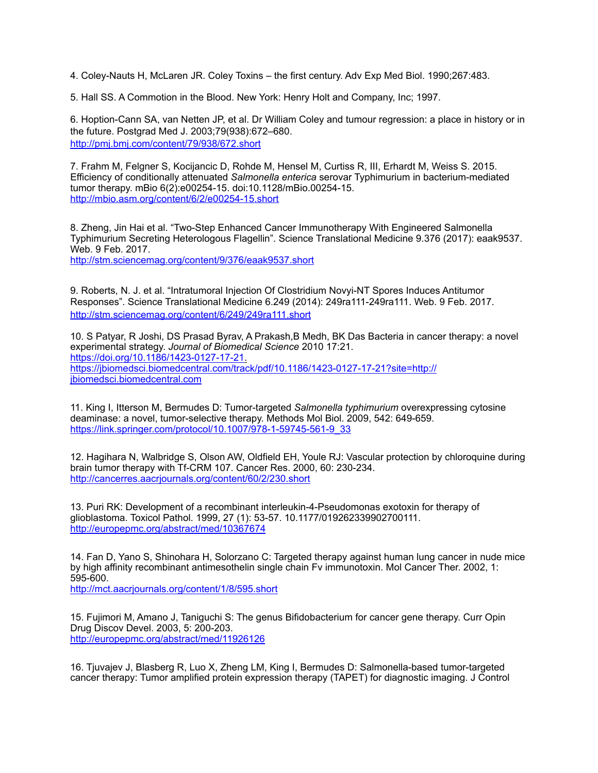4. Coley-Nauts H, McLaren JR. Coley Toxins – the first century. Adv Exp Med Biol. 1990;267:483.

5. Hall SS. A Commotion in the Blood. New York: Henry Holt and Company, Inc; 1997.

6. Hoption-Cann SA, van Netten JP, et al. Dr William Coley and tumour regression: a place in history or in the future. Postgrad Med J. 2003;79(938):672–680. <http://pmj.bmj.com/content/79/938/672.short>

7. Frahm M, Felgner S, Kocijancic D, Rohde M, Hensel M, Curtiss R, III, Erhardt M, Weiss S. 2015. Efficiency of conditionally attenuated *Salmonella enterica* serovar Typhimurium in bacterium-mediated tumor therapy. mBio 6(2):e00254-15. doi:10.1128/mBio.00254-15. <http://mbio.asm.org/content/6/2/e00254-15.short>

8. Zheng, Jin Hai et al. ["Two-Step Enhanced Cancer Immunotherapy With Engineered Salmonella](http://stm.sciencemag.org/content/9/376/eaak9537)  [Typhimurium Secreting Heterologous Flagellin". Science Translational Medicine 9.376 \(2017\): eaak](http://stm.sciencemag.org/content/9/376/eaak9537)9537. Web. 9 Feb. 2017.

<http://stm.sciencemag.org/content/9/376/eaak9537.short>

9. Roberts, N. J. et al. ["Intratumoral Injection Of Clostridium Novyi-NT Spores Induces Antitumor](http://stm.sciencemag.org/content/6/249/249ra111)  [Responses"](http://stm.sciencemag.org/content/6/249/249ra111). Science Translational Medicine 6.249 (2014): 249ra111-249ra111. Web. 9 Feb. 2017. <http://stm.sciencemag.org/content/6/249/249ra111.short>

10. S Patyar, R Joshi, DS Prasad Byrav, A Prakash,B Medh, BK Das Bacteria in cancer therapy: a novel experimental strategy. *Journal of Biomedical Science* 2010 17:21. <https://doi.org/10.1186/1423-0127-17-21>. [https://jbiomedsci.biomedcentral.com/track/pdf/10.1186/1423-0127-17-21?site=http://](https://jbiomedsci.biomedcentral.com/track/pdf/10.1186/1423-0127-17-21?site=http://jbiomedsci.biomedcentral.com) [jbiomedsci.biomedcentral.com](https://jbiomedsci.biomedcentral.com/track/pdf/10.1186/1423-0127-17-21?site=http://jbiomedsci.biomedcentral.com)

11. King I, Itterson M, Bermudes D: Tumor-targeted *Salmonella typhimurium* overexpressing cytosine deaminase: a novel, tumor-selective therapy. Methods Mol Biol. 2009, 542: 649-659. [https://link.springer.com/protocol/10.1007/978-1-59745-561-9\\_33](https://link.springer.com/protocol/10.1007/978-1-59745-561-9_33)

12. Hagihara N, Walbridge S, Olson AW, Oldfield EH, Youle RJ: Vascular protection by chloroquine during brain tumor therapy with Tf-CRM 107. Cancer Res. 2000, 60: 230-234. <http://cancerres.aacrjournals.org/content/60/2/230.short>

13. Puri RK: Development of a recombinant interleukin-4-Pseudomonas exotoxin for therapy of glioblastoma. Toxicol Pathol. 1999, 27 (1): 53-57. 10.1177/019262339902700111. <http://europepmc.org/abstract/med/10367674>

14. Fan D, Yano S, Shinohara H, Solorzano C: Targeted therapy against human lung cancer in nude mice by high affinity recombinant antimesothelin single chain Fv immunotoxin. Mol Cancer Ther. 2002, 1: 595-600.

<http://mct.aacrjournals.org/content/1/8/595.short>

15. Fujimori M, Amano J, Taniguchi S: The genus Bifidobacterium for cancer gene therapy. Curr Opin Drug Discov Devel. 2003, 5: 200-203. <http://europepmc.org/abstract/med/11926126>

16. Tjuvajev J, Blasberg R, Luo X, Zheng LM, King I, Bermudes D: Salmonella-based tumor-targeted cancer therapy: Tumor amplified protein expression therapy (TAPET) for diagnostic imaging. J Control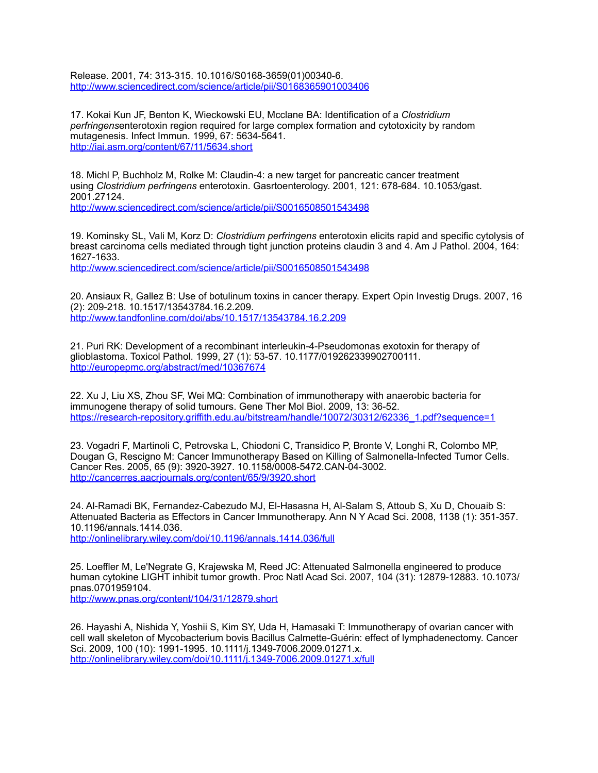Release. 2001, 74: 313-315. 10.1016/S0168-3659(01)00340-6. <http://www.sciencedirect.com/science/article/pii/S0168365901003406>

17. Kokai Kun JF, Benton K, Wieckowski EU, Mcclane BA: Identification of a *Clostridium perfringens*enterotoxin region required for large complex formation and cytotoxicity by random mutagenesis. Infect Immun. 1999, 67: 5634-5641. <http://iai.asm.org/content/67/11/5634.short>

18. Michl P, Buchholz M, Rolke M: Claudin-4: a new target for pancreatic cancer treatment using *Clostridium perfringens* enterotoxin. Gasrtoenterology. 2001, 121: 678-684. 10.1053/gast. 2001.27124. <http://www.sciencedirect.com/science/article/pii/S0016508501543498>

19. Kominsky SL, Vali M, Korz D: *Clostridium perfringens* enterotoxin elicits rapid and specific cytolysis of breast carcinoma cells mediated through tight junction proteins claudin 3 and 4. Am J Pathol. 2004, 164: 1627-1633.

<http://www.sciencedirect.com/science/article/pii/S0016508501543498>

20. Ansiaux R, Gallez B: Use of botulinum toxins in cancer therapy. Expert Opin Investig Drugs. 2007, 16 (2): 209-218. 10.1517/13543784.16.2.209. <http://www.tandfonline.com/doi/abs/10.1517/13543784.16.2.209>

21. Puri RK: Development of a recombinant interleukin-4-Pseudomonas exotoxin for therapy of glioblastoma. Toxicol Pathol. 1999, 27 (1): 53-57. 10.1177/019262339902700111. <http://europepmc.org/abstract/med/10367674>

22. Xu J, Liu XS, Zhou SF, Wei MQ: Combination of immunotherapy with anaerobic bacteria for immunogene therapy of solid tumours. Gene Ther Mol Biol. 2009, 13: 36-52. [https://research-repository.griffith.edu.au/bitstream/handle/10072/30312/62336\\_1.pdf?sequence=1](https://research-repository.griffith.edu.au/bitstream/handle/10072/30312/62336_1.pdf?sequence=1)

23. Vogadri F, Martinoli C, Petrovska L, Chiodoni C, Transidico P, Bronte V, Longhi R, Colombo MP, Dougan G, Rescigno M: Cancer Immunotherapy Based on Killing of Salmonella-Infected Tumor Cells. Cancer Res. 2005, 65 (9): 3920-3927. 10.1158/0008-5472.CAN-04-3002. <http://cancerres.aacrjournals.org/content/65/9/3920.short>

24. Al-Ramadi BK, Fernandez-Cabezudo MJ, El-Hasasna H, Al-Salam S, Attoub S, Xu D, Chouaib S: Attenuated Bacteria as Effectors in Cancer Immunotherapy. Ann N Y Acad Sci. 2008, 1138 (1): 351-357. 10.1196/annals.1414.036.

<http://onlinelibrary.wiley.com/doi/10.1196/annals.1414.036/full>

25. Loeffler M, Le'Negrate G, Krajewska M, Reed JC: Attenuated Salmonella engineered to produce human cytokine LIGHT inhibit tumor growth. Proc Natl Acad Sci. 2007, 104 (31): 12879-12883. 10.1073/ pnas.0701959104.

<http://www.pnas.org/content/104/31/12879.short>

26. Hayashi A, Nishida Y, Yoshii S, Kim SY, Uda H, Hamasaki T: Immunotherapy of ovarian cancer with cell wall skeleton of Mycobacterium bovis Bacillus Calmette-Guérin: effect of lymphadenectomy. Cancer Sci. 2009, 100 (10): 1991-1995. 10.1111/j.1349-7006.2009.01271.x. <http://onlinelibrary.wiley.com/doi/10.1111/j.1349-7006.2009.01271.x/full>